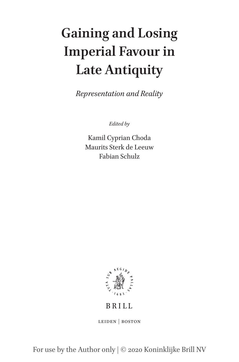# **Gaining and Losing Imperial Favour in Late Antiquity**

*Representation and Reality*

*Edited by*

Kamil Cyprian Choda Maurits Sterk de Leeuw Fabian Schulz



# **BRILL**

LEIDEN | BOSTON

<span id="page-0-0"></span>For use by the Author only | © 2020 Koninklijke Brill NV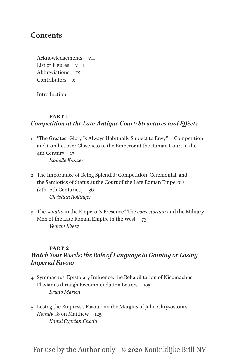# **Contents**

[Acknowledgements vii](#page--1-0) List of Figures VIII [Abbreviations ix](#page--1-0) Contributors x

Introduction<sub>1</sub>

### **[Part 1](#page-0-0)**

### *[Competition at the Late-Antique Court: Structures and Effects](#page-0-0)*

- 1 ["The Greatest Glory Is Always Habitually Subject to Envy"—Competition](#page-2-0)  [and Conflict over Closeness to the Emperor at the Roman Court in the](#page-2-0)  [4th Century 17](#page-2-0) *[Isabelle Künzer](#page-2-0)*
- 2 [The Importance of Being Splendid: Competition, Ceremonial, and](#page-0-0)  [the Semiotics of Status at the Court of the Late Roman Emperors](#page-0-0)  [\(4th–6th Centuries\) 36](#page-0-0) *[Christian Rollinger](#page-0-0)*
- 3 The *venatio* [in the Emperor's Presence? The](#page-0-0) *consistorium* and the Military [Men of the Late Roman Empire in the West 73](#page-0-0) *[Vedran Bileta](#page-0-0)*

### **[Part 2](#page-0-0)**

### *[Watch Your Words: the Role of Language in Gaining or Losing](#page-0-0)  [Imperial Favour](#page-0-0)*

- 4 [Symmachus' Epistolary Influence: the Rehabilitation of Nicomachus](#page-2-0)  [Flavianus through Recommendation Letters 105](#page-2-0) *[Bruno Marien](#page-2-0)*
- 5 [Losing the Empress's Favour: on the Margins of John Chrysostom's](#page-0-0)  *Homily* [48 on Matthew 125](#page-0-0) *[Kamil Cyprian Choda](#page-0-0)*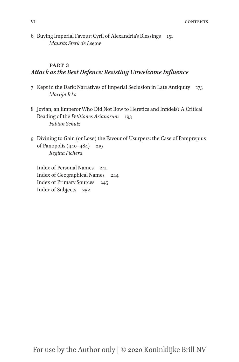<span id="page-2-0"></span>6 [Buying Imperial Favour: Cyril of Alexandria's Blessings 151](#page-0-0) *[Maurits Sterk de Leeuw](#page-0-0)*

### **[Part 3](#page-0-0)** *[Attack as the Best Defence: Resisting Unwelcome Influence](#page-0-0)*

- 7 Kept in the Dark: Narratives of Imperial Seclusion in Late Antiquity 173 *Martijn Icks*
- 8 [Jovian, an Emperor Who Did Not Bow to Heretics and Infidels? A Critical](#page-0-0)  Reading of the *[Petitiones Arianorum](#page-0-0)* 193 *[Fabian Schulz](#page-0-0)*
- 9 [Divining to Gain \(or Lose\) the Favour of Usurpers: the Case of Pamprepius](#page-0-0)  [of Panopolis \(440–484\) 21](#page-0-0)9 *[Regina Fichera](#page-0-0)*

Index of Personal Names 241 Index of Geographical Names 244 Index of Primary Sources 245 Index of Subjects 252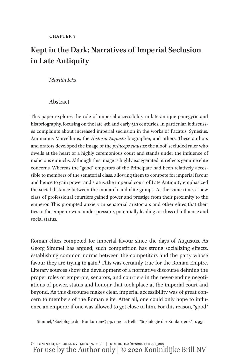# **Kept in the Dark: Narratives of Imperial Seclusion in Late Antiquity**

### *Martijn Icks*

#### **Abstract**

This paper explores the role of imperial accessibility in late-antique panegyric and historiography, focusing on the late 4th and early 5th centuries. In particular, it discusses complaints about increased imperial seclusion in the works of Pacatus, Synesius, Ammianus Marcellinus, the *Historia Augusta* biographer, and others. These authors and orators developed the image of the *princeps clausus*: the aloof, secluded ruler who dwells at the heart of a highly ceremonious court and stands under the influence of malicious eunuchs. Although this image is highly exaggerated, it reflects genuine elite concerns. Whereas the "good" emperors of the Principate had been relatively accessible to members of the senatorial class, allowing them to compete for imperial favour and hence to gain power and status, the imperial court of Late Antiquity emphasized the social distance between the monarch and elite groups. At the same time, a new class of professional courtiers gained power and prestige from their proximity to the emperor. This prompted anxiety in senatorial aristocrats and other elites that their ties to the emperor were under pressure, potentially leading to a loss of influence and social status.

Roman elites competed for imperial favour since the days of Augustus. As Georg Simmel has argued, such competition has strong socializing effects, establishing common norms between the competitors and the party whose favour they are trying to gain.<sup>1</sup> This was certainly true for the Roman Empire. Literary sources show the development of a normative discourse defining the proper roles of emperors, senators, and courtiers in the never-ending negotiations of power, status and honour that took place at the imperial court and beyond. As this discourse makes clear, imperial accessibility was of great concern to members of the Roman elite. After all, one could only hope to influence an emperor if one was allowed to get close to him. For this reason, "good"

<sup>1</sup> Simmel, "Soziologie der Konkurrenz", pp. 1012–3; Helle, "Soziologie der Konkurrenz", p. 951.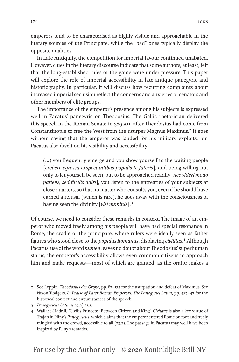emperors tend to be characterised as highly visible and approachable in the literary sources of the Principate, while the "bad" ones typically display the opposite qualities.

In Late Antiquity, the competition for imperial favour continued unabated. However, clues in the literary discourse indicate that some authors, at least, felt that the long-established rules of the game were under pressure. This paper will explore the role of imperial accessibility in late antique panegyric and historiography. In particular, it will discuss how recurring complaints about increased imperial seclusion reflect the concerns and anxieties of senators and other members of elite groups.

The importance of the emperor's presence among his subjects is expressed well in Pacatus' panegyric on Theodosius. The Gallic rhetorician delivered this speech in the Roman Senate in 389 AD, after Theodosius had come from Constantinople to free the West from the usurper Magnus Maximus.2 It goes without saying that the emperor was lauded for his military exploits, but Pacatus also dwelt on his visibility and accessibility:

(…) you frequently emerge and you show yourself to the waiting people [*crebere egressu exspectantibus populis te fateris*], and being willing not only to let yourself be seen, but to be approached readily [*nec videri modo patiens, sed facilis adiri*], you listen to the entreaties of your subjects at close quarters, so that no matter who consults you, even if he should have earned a refusal (which is rare), he goes away with the consciousness of having seen the divinity [*visi numinis*].3

Of course, we need to consider these remarks in context. The image of an emperor who moved freely among his people will have had special resonance in Rome, the cradle of the principate, where rulers were ideally seen as father figures who stood close to the *populus Romanus*, displaying *civilitas*.4 Although Pacatus' use of the word *numen* leaves no doubt about Theodosius' superhuman status, the emperor's accessibility allows even common citizens to approach him and make requests—most of which are granted, as the orator makes a

<sup>2</sup> See Leppin, *Theodosius der Große*, pp. 87–133 for the usurpation and defeat of Maximus. See Nixon/Rodgers, *In Praise of Later Roman Emperors: The Panegyrici Latini*, pp. 437–47 for the historical context and circumstances of the speech.

<sup>3</sup> *Panegyricus Latinus* 2(12).21.2.

<sup>4</sup> Wallace-Hadrill, "Civilis Princeps: Between Citizen and King". *Civilitas* is also a key virtue of Trajan in Pliny's *Panegyricus*, which claims that the emperor entered Rome on foot and freely mingled with the crowd, accessible to all (23.2). The passage in Pacatus may well have been inspired by Pliny's remarks.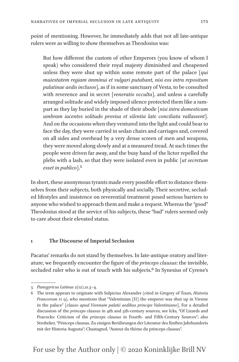point of mentioning. However, he immediately adds that not all late-antique rulers were as willing to show themselves as Theodosius was:

But how different the custom of other Emperors (you know of whom I speak) who considered their royal majesty diminished and cheapened unless they were shut up within some remote part of the palace [*qui maiestatem regiam imminui et vulgari putabant, nisi eos intra repositum palatinae aedis inclusos*], as if in some sanctuary of Vesta, to be consulted with reverence and in secret [*veneratio occulta*], and unless a carefully arranged solitude and widely imposed silence protected them like a rampart as they lay buried in the shade of their abode [*nisi intra domesticam umbram iacentes solitudo provisa et silentia late conciliata vallassent*]. And on the occasions when they ventured into the light and could bear to face the day, they were carried in sedan chairs and carriages and, covered on all sides and overhead by a very dense screen of men and weapons, they were moved along slowly and at a measured tread. At such times the people were driven far away, and the busy hand of the lictor repelled the plebs with a lash, so that they were isolated even in public [*ut secretum esset in publico*].5

In short, these anonymous tyrants made every possible effort to distance themselves from their subjects, both physically and socially. Their secretive, secluded lifestyles and insistence on reverential treatment posed serious barriers to anyone who wished to approach them and make a request. Whereas the "good" Theodosius stood at the service of his subjects, these "bad" rulers seemed only to care about their elevated status.

### **1 The Discourse of Imperial Seclusion**

Pacatus' remarks do not stand by themselves. In late-antique oratory and literature, we frequently encounter the figure of the *princeps clausus*: the invisible, secluded ruler who is out of touch with his subjects.<sup>6</sup> In Synesius of Cyrene's

<sup>5</sup> *Panegyricus Latinus* 2(12).21.3–4.

<sup>6</sup> The term appears to originate with Sulpicius Alexander (cited in Gregory of Tours, *Historia Francorum* II 9), who mentions that "Valentinian [II] the emperor was shut up in Vienne in the palace" [*clauso apud Viennam palatii aedibus principe Valentiniano*]. For a detailed discussion of the *princeps clausus* in 4th and 5th-century sources, see Icks, "Of Lizards and Peacocks: Criticism of the *princeps clausus* in Fourth- and Fifth-Century Sources"; also Stroheker, "Princeps clausus. Zu einigen Berührungen der Literatur des fünften Jahrhunderts mit der Historia Augusta"; Chastagnol, "Autour du thème du princeps clausus".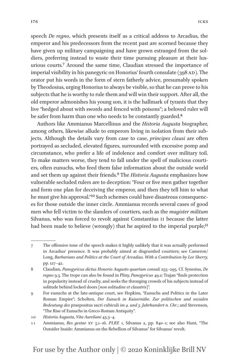speech *De regno*, which presents itself as a critical address to Arcadius, the emperor and his predecessors from the recent past are scorned because they have given up military campaigning and have grown estranged from the soldiers, preferring instead to waste their time pursuing pleasure at their luxurious courts.7 Around the same time, Claudian stressed the importance of imperial visibility in his panegyric on Honorius' fourth consulate (398 AD). The orator put his words in the form of stern fatherly advice, presumably spoken by Theodosius, urging Honorius to always be visible, so that he can prove to his subjects that he is worthy to rule them and will win their support. After all, the old emperor admonishes his young son, it is the hallmark of tyrants that they live "hedged about with swords and fenced with poisons"; a beloved ruler will be safer from harm than one who needs to be constantly guarded.<sup>8</sup>

Authors like Ammianus Marcellinus and the *Historia Augusta* biographer, among others, likewise allude to emperors living in isolation from their subjects. Although the details vary from case to case, *principes clausi* are often portrayed as secluded, elevated figures, surrounded with excessive pomp and circumstance, who prefer a life of indolence and comfort over military toil. To make matters worse, they tend to fall under the spell of malicious courtiers, often eunuchs, who feed them false information about the outside world and set them up against their friends.9 The *Historia Augusta* emphasizes how vulnerable secluded rulers are to deception: "Four or five men gather together and form one plan for deceiving the emperor, and then they tell him to what he must give his approval."10 Such schemes could have disastrous consequences for those outside the inner circle. Ammianus records several cases of good men who fell victim to the slanders of courtiers, such as the *magister militum* Silvanus, who was forced to revolt against Constantius II because the latter had been made to believe (wrongly) that he aspired to the imperial purple;<sup>11</sup>

<sup>7</sup> The offensive tone of the speech makes it highly unlikely that it was actually performed in Arcadius' presence. It was probably aimed at disgruntled courtiers; see Cameron/ Long, *Barbarians and Politics at the Court of Arcadius. With a Contribution by Lee Sherry,* pp. 127–42.

<sup>8</sup> Claudian, *Panegyricus dictus Honorio Augusto quartum consuli* 255–295. Cf. Synesius, *De regno* 9.3. The trope can also be found in Pliny, *Panegyricus* 49.2: Trajan "finds protection in popularity instead of cruelty, and seeks the thronging crowds of his subjects instead of solitude behind locked doors [*non solitudine et claustris*]".

<sup>9</sup> For eunuchs at the late-antique court, see Hopkins, "Eunuchs and Politics in the Later Roman Empire"; Scholten, *Der Eunuch in Kaisernähe. Zur politischen und sozialen Bedeutung des* praepositus sacri cubiculi *im 4. und 5. Jahrhundert n. Chr*.; and Stevenson, "The Rise of Eunuchs in Greco-Roman Antiquity".

<sup>10</sup> *Historia Augusta*, *Vita Aureliani* 43.3–4.

<sup>11</sup> Ammianus, *Res gestae* XV 5.1–16. *PLRE* 1, Silvanus 2, pp. 840–1; see also Hunt, "The Outsider Inside: Ammianus on the Rebellion of Silvanus" for Silvanus' revolt.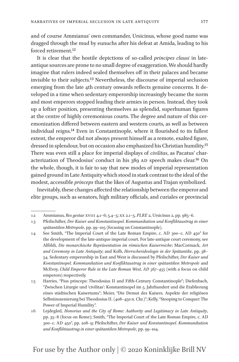and of course Ammianus' own commander, Ursicinus, whose good name was dragged through the mud by eunuchs after his defeat at Amida, leading to his forced retirement.12

It is clear that the hostile depictions of so-called *principes clausi* in lateantique sources are prone to no small degree of exaggeration. We should hardly imagine that rulers indeed sealed themselves off in their palaces and became invisible to their subjects.13 Nevertheless, the discourse of imperial seclusion emerging from the late 4th century onwards reflects genuine concerns. It developed in a time when sedentary emperorship increasingly became the norm and most emperors stopped leading their armies in person. Instead, they took up a loftier position, presenting themselves as splendid, superhuman figures at the centre of highly ceremonious courts. The degree and nature of this ceremonization differed between eastern and western courts, as well as between individual reigns.14 Even in Constantinople, where it flourished to its fullest extent, the emperor did not always present himself as a remote, exalted figure, dressed in splendour, but on occasion also emphasized his Christian humility.<sup>15</sup> There was even still a place for imperial displays of *civilitas*, as Pacatus' characterization of Theodosius' conduct in his 389 AD speech makes clear.16 On the whole, though, it is fair to say that new modes of imperial representation gained ground in Late Antiquity which stood in stark contrast to the ideal of the modest, accessible *princeps* that the likes of Augustus and Trajan symbolized.

Inevitably, these changes affected the relationship between the emperor and elite groups, such as senators, high military officials, and curiales or provincial

# For use by the Author only | © 2020 Koninklijke Brill NV

<sup>12</sup> Ammianus, *Res gestae* XVIII 4.1–6; 5.4–5; XX 2.1–5. *PLRE* 2, Ursicinus 2, pp. 985–6.

<sup>13</sup> Pfeilschifter, *Der Kaiser und Konstantinopel. Kommunikation und Konfliktaustrag in einer spätantiken Metropole*, pp. 99–105 (focusing on Constantinople).

<sup>14</sup> See Smith, "The Imperial Court of the Late Roman Empire, c. AD 300–c. AD 450" for the development of the late-antique imperial court. For late-antique court ceremony, see Alföldi, *Die monarchische Repräsentation im römischen Kaiserreiche*; MacCormack, *Art and Ceremony in Late Antiquity*; and Kolb, *Herrscherideologie in der Spätantike*, pp. 38– 54. Sedentary emperorship in East and West is discussed by Pfeilschifter, *Der Kaiser und Konstantinopel. Kommunikation und Konfliktaustrag in einer spätantiken Metropole* and McEvoy, *Child Emperor Rule in the Late Roman West, AD 367–455* (with a focus on child emperors) respectively.

<sup>15</sup> Harries, "Pius princeps: Theodosius II and Fifth-Century Constantinople"; Diefenbach, "Zwischen Liturgie und 'civilitas': Konstantinopel im 5. Jahrhundert und die Etablierung eines städtischen Kaisertums"; Meier, "Die Demut des Kaisers. Aspekte der religiösen Selbstinszenierung bei Theodosius II. (408–450 n. Chr.)"; Kelly, "Stooping to Conquer: The Power of Imperial Humility".

<sup>16</sup> Lejdegård, *Honorius and the City of Rome: Authority and Legitimacy in Late Antiquity*, pp. 35–8 (focus on Rome); Smith, "The Imperial Court of the Late Roman Empire, c. AD 300–c. AD 450", pp. 208–9; Pfeilschifter, *Der Kaiser und Konstantinopel. Kommunikation und Konfliktaustrag in einer spätantiken Metropole*, pp. 99–104.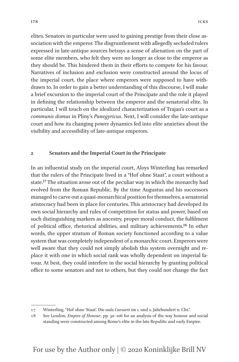elites. Senators in particular were used to gaining prestige from their close association with the emperor. The disgruntlement with allegedly secluded rulers expressed in late-antique sources betrays a sense of alienation on the part of some elite members, who felt they were no longer as close to the emperor as they should be. This hindered them in their efforts to compete for his favour. Narratives of inclusion and exclusion were constructed around the locus of the imperial court, the place where emperors were supposed to have withdrawn to. In order to gain a better understanding of this discourse, I will make a brief excursion to the imperial court of the Principate and the role it played in defining the relationship between the emperor and the senatorial elite. In particular, I will touch on the idealized characterization of Trajan's court as a *communis domus* in Pliny's *Panegyricus*. Next, I will consider the late-antique court and how its changing power dynamics fed into elite anxieties about the visibility and accessibility of late-antique emperors.

#### **2 Senators and the Imperial Court in the Principate**

In an influential study on the imperial court, Aloys Winterling has remarked that the rulers of the Principate lived in a "Hof ohne Staat", a court without a state.17 The situation arose out of the peculiar way in which the monarchy had evolved from the Roman Republic. By the time Augustus and his successors managed to carve out a quasi-monarchical position for themselves, a senatorial aristocracy had been in place for centuries. This aristocracy had developed its own social hierarchy and rules of competition for status and power, based on such distinguishing markers as ancestry, proper moral conduct, the fulfilment of political office, rhetorical abilities, and military achievements.18 In other words, the upper stratum of Roman society functioned according to a value system that was completely independent of a monarchic court. Emperors were well aware that they could not simply abolish this system overnight and replace it with one in which social rank was wholly dependent on imperial favour. At best, they could interfere in the social hierarchy by granting political office to some senators and not to others, but they could not change the fact

<sup>17</sup> Winterling, "Hof ohne 'Staat'. Die *aula Caesaris* im 1. und 2. Jahrhundert n. Chr.".

<sup>18</sup> See Lendon, *Empire of Honour*, pp. 30–106 for an analysis of the way honour and social standing were constructed among Rome's elite in the late Republic and early Empire.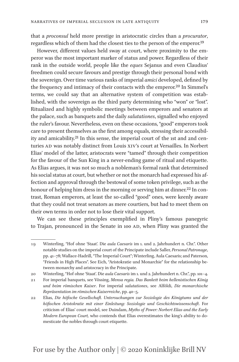that a *proconsul* held more prestige in aristocratic circles than a *procurator*, regardless which of them had the closest ties to the person of the emperor.19

However, different values held sway at court, where proximity to the emperor was the most important marker of status and power. Regardless of their rank in the outside world, people like the *eques* Sejanus and even Claudius' freedmen could secure favours and prestige through their personal bond with the sovereign. Over time various ranks of imperial *amici* developed, defined by the frequency and intimacy of their contacts with the emperor.20 In Simmel's terms, we could say that an alternative system of competition was established, with the sovereign as the third party determining who "won" or "lost". Ritualized and highly symbolic meetings between emperors and senators at the palace, such as banquets and the daily *salutationes*, signalled who enjoyed the ruler's favour. Nevertheless, even on these occasions, "good" emperors took care to present themselves as the first among equals, stressing their accessibility and amicability.21 In this sense, the imperial court of the 1st and 2nd centuries AD was notably distinct from Louis XIV's court at Versailles. In Norbert Elias' model of the latter, aristocrats were "tamed" through their competition for the favour of the Sun King in a never-ending game of ritual and etiquette. As Elias argues, it was not so much a nobleman's formal rank that determined his social status at court, but whether or not the monarch had expressed his affection and approval through the bestowal of some token privilege, such as the honour of helping him dress in the morning or serving him at dinner.<sup>22</sup> In contrast, Roman emperors, at least the so-called "good" ones, were keenly aware that they could not treat senators as mere courtiers, but had to meet them on their own terms in order not to lose their vital support.

We can see these principles exemplified in Pliny's famous panegyric to Trajan, pronounced in the Senate in 100 AD, when Pliny was granted the

<sup>19</sup> Winterling, "Hof ohne 'Staat'. Die *aula Caesaris* im 1. und 2. Jahrhundert n. Chr.". Other notable studies on the imperial court of the Principate include Saller, *Personal Patronage*, pp. 41–78; Wallace-Hadrill, "The Imperial Court"; Winterling, Aula Caesaris; and Paterson, "Friends in High Places". See Eich, "Aristokratie und Monarchie" for the relationship between monarchy and aristocracy in the Principate.

<sup>20</sup> Winterling, "Hof ohne 'Staat'. Die *aula Caesaris* im 1. und 2. Jahrhundert n. Chr.", pp. 101–4.

<sup>21</sup> For imperial banquets, see Vössing, *Mensa regia. Das Bankett beim hellenistischen König und beim römischen Kaiser*. For imperial *salutationes*, see Alföldi, *Die monarchische Repräsentation im römischen Kaiserreiche*, pp. 40–5.

<sup>22</sup> Elias, *Die höfische Gesellschaft. Untersuchungen zur Soziologie des Königtums und der höfischen Aristokratie mit einer Einleitung: Soziologie und Geschichtswissenschaft*. For criticism of Elias' court model, see Duindam, *Myths of Power: Norbert Elias and the Early Modern European Court,* who contends that Elias overestimates the king's ability to domesticate the nobles through court etiquette.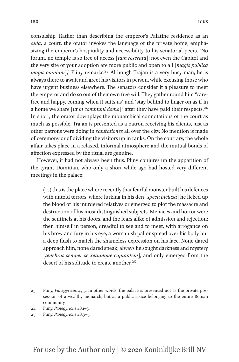consulship. Rather than describing the emperor's Palatine residence as an *aula*, a court, the orator invokes the language of the private home, emphasizing the emperor's hospitality and accessibility to his senatorial peers. "No forum, no temple is so free of access [*tam reserata*]: not even the Capitol and the very site of your adoption are more public and open to all [*magis publica magis omnium*]," Pliny remarks.<sup>23</sup> Although Trajan is a very busy man, he is always there to await and greet his visitors in person, while excusing those who have urgent business elsewhere. The senators consider it a pleasure to meet the emperor and do so out of their own free will. They gather round him "carefree and happy, coming when it suits us" and "stay behind to linger on as if in a home we share [*ut in communi domo*]" after they have paid their respects.24 In short, the orator downplays the monarchical connotations of the court as much as possible. Trajan is presented as a patron receiving his clients, just as other patrons were doing in *salutationes* all over the city. No mention is made of ceremony or of dividing the visitors up in ranks. On the contrary, the whole affair takes place in a relaxed, informal atmosphere and the mutual bonds of affection expressed by the ritual are genuine.

However, it had not always been thus. Pliny conjures up the apparition of the tyrant Domitian, who only a short while ago had hosted very different meetings in the palace:

(…) this is the place where recently that fearful monster built his defences with untold terrors, where lurking in his den [*specu inclusa*] he licked up the blood of his murdered relatives or emerged to plot the massacre and destruction of his most distinguished subjects. Menaces and horror were the sentinels at his doors, and the fears alike of admission and rejection; then himself in person, dreadful to see and to meet, with arrogance on his brow and fury in his eye, a womanish pallor spread over his body but a deep flush to match the shameless expression on his face. None dared approach him, none dared speak; always he sought darkness and mystery [*tenebras semper secretumque captantem*], and only emerged from the desert of his solitude to create another.<sup>25</sup>

<sup>23</sup> Pliny, *Panegyricus* 47.5. In other words, the palace is presented not as the private possession of a wealthy monarch, but as a public space belonging to the entire Roman community.

<sup>24</sup> Pliny, *Panegyricus* 48.1–3.

<sup>25</sup> Pliny, *Panegyricus* 48.3–5.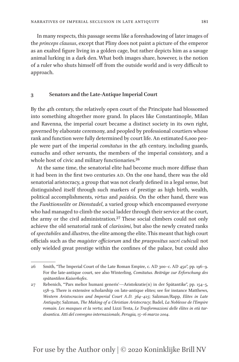In many respects, this passage seems like a foreshadowing of later images of the *princeps clausus*, except that Pliny does not paint a picture of the emperor as an exalted figure living in a golden cage, but rather depicts him as a savage animal lurking in a dark den. What both images share, however, is the notion of a ruler who shuts himself off from the outside world and is very difficult to approach.

#### **3 Senators and the Late-Antique Imperial Court**

By the 4th century, the relatively open court of the Principate had blossomed into something altogether more grand. In places like Constantinople, Milan and Ravenna, the imperial court became a distinct society in its own right, governed by elaborate ceremony, and peopled by professional courtiers whose rank and function were fully determined by court life. An estimated 6,000 people were part of the imperial *comitatus* in the 4th century, including guards, eunuchs and other servants, the members of the imperial consistory, and a whole host of civic and military functionaries.<sup>26</sup>

At the same time, the senatorial elite had become much more diffuse than it had been in the first two centuries AD. On the one hand, there was the old senatorial aristocracy, a group that was not clearly defined in a legal sense, but distinguished itself through such markers of prestige as high birth, wealth, political accomplishments, *virtus* and *paideia*. On the other hand, there was the *Funktionselite* or *Dienstadel*, a varied group which encompassed everyone who had managed to climb the social ladder through their service at the court, the army or the civil administration.<sup>27</sup> These social climbers could not only achieve the old senatorial rank of *clarissimi*, but also the newly created ranks of *spectabiles* and *illustres*, the elite among the elite. This meant that high court officials such as the *magister officiorum* and the *praepositus sacri cubiculi* not only wielded great prestige within the confines of the palace, but could also

<sup>26</sup> Smith, "The Imperial Court of the Late Roman Empire, c. AD 300–c. AD 450", pp. 196–9. For the late-antique court, see also Winterling, *Comitatus. Beiträge zur Erforschung des spätantiken Kaiserhofes*.

<sup>27</sup> Rebenich, "'Pars melior humani generis'—Aristokratie(n) in der Spätantike", pp. 154–5, 158–9. There is extensive scholarship on late-antique elites; see for instance Matthews, *Western Aristocracies and Imperial Court A.D. 364–425*; Salzman/Rapp, *Elites in Late Antiquity*; Salzman, *The Making of a Christian Aristocracy*; Badel, *La Noblesse de l'Empire romain. Les masques et la vertu*; and Lizzi Testa, *Le Trasformazioni delle élites in età tardoantica. Atti del convegno internazionale, Perugia, 15–16 marzo 2004*.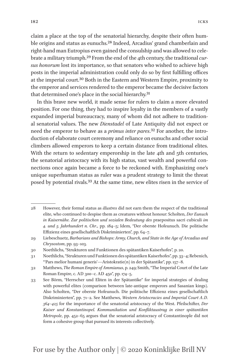claim a place at the top of the senatorial hierarchy, despite their often humble origins and status as eunuchs.28 Indeed, Arcadius' grand chamberlain and right-hand man Eutropius even gained the consulship and was allowed to celebrate a military triumph.29 From the end of the 4th century, the traditional *cursus honorum* lost its importance, so that senators who wished to achieve high posts in the imperial administration could only do so by first fulfilling offices at the imperial court.30 Both in the Eastern and Western Empire, proximity to the emperor and services rendered to the emperor became the decisive factors that determined one's place in the social hierarchy.31

In this brave new world, it made sense for rulers to claim a more elevated position. For one thing, they had to inspire loyalty in the members of a vastly expanded imperial bureaucracy, many of whom did not adhere to traditional senatorial values. The new *Dienstadel* of Late Antiquity did not expect or need the emperor to behave as a *primus inter pares*.32 For another, the introduction of elaborate court ceremony and reliance on eunuchs and other social climbers allowed emperors to keep a certain distance from traditional elites. With the return to sedentary emperorship in the late 4th and 5th centuries, the senatorial aristocracy with its high status, vast wealth and powerful connections once again became a force to be reckoned with. Emphasizing one's unique superhuman status as ruler was a prudent strategy to limit the threat posed by potential rivals.33 At the same time, new elites risen in the service of

29 Liebeschuetz, *Barbarians and Bishops: Army, Church, and State in the Age of Arcadius and Chrysostom*, pp. 93–103.

<sup>28</sup> However, their formal status as *illustres* did not earn them the respect of the traditional elite, who continued to despise them as creatures without honour: Scholten, *Der Eunuch in Kaisernähe. Zur politischen und sozialen Bedeutung des* praepositus sacri cubiculi *im 4. und 5. Jahrhundert n. Chr*., pp. 184–5; Idem, "Der oberste Hofeunuch. Die politische Effizienz eines gesellschaftlich Diskriminierten", pp. 64–7.

<sup>30</sup> Noethlichs, "Strukturen und Funktionen des spätantiken Kaiserhofes", p. 20.

<sup>31</sup> Noethlichs, "Strukturen und Funktionen des spätantiken Kaiserhofes", pp. 33–4; Rebenich, "'Pars melior humani generis'—Aristokratie(n) in der Spätantike", pp. 157–8.

<sup>32</sup> Matthews, *The Roman Empire of Ammianus*, p. 249; Smith, "The Imperial Court of the Late Roman Empire, c. AD 300–c. AD 450", pp. 174–5.

<sup>33</sup> See Börm, "Herrscher und Eliten in der Spätantike" for imperial strategies of dealing with powerful elites (comparison between late-antique emperors and Sasanian kings). Also Scholten, "Der oberste Hofeunuch. Die politische Effizienz eines gesellschaftlich Diskriminierten", pp. 71–2. See Matthews, *Western Aristocracies and Imperial Court A.D. 364–425* for the importance of the senatorial aristocracy of the West. Pfeilschifter, *Der Kaiser und Konstantinopel. Kommunikation und Konfliktaustrag in einer spätantiken Metropole*, pp. 452–65 argues that the senatorial aristocracy of Constantinople did not form a cohesive group that pursued its interests collectively.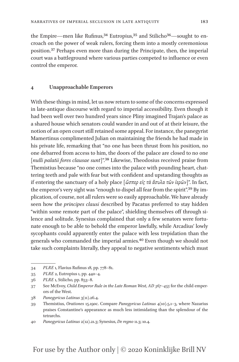the Empire—men like Rufinus,<sup>34</sup> Eutropius,<sup>35</sup> and Stilicho<sup>36</sup>—sought to encroach on the power of weak rulers, forcing them into a mostly ceremonious position.37 Perhaps even more than during the Principate, then, the imperial court was a battleground where various parties competed to influence or even control the emperor.

### **4 Unapproachable Emperors**

With these things in mind, let us now return to some of the concerns expressed in late-antique discourse with regard to imperial accessibility. Even though it had been well over two hundred years since Pliny imagined Trajan's palace as a shared house which senators could wander in and out of at their leisure, the notion of an open court still retained some appeal. For instance, the panegyrist Mamertinus complimented Julian on maintaining the friends he had made in his private life, remarking that "no one has been thrust from his position, no one debarred from access to him, the doors of the palace are closed to no one [*nulli palatii fores clausae sunt*]".38 Likewise, Theodosius received praise from Themistius because "no one comes into the palace with pounding heart, chattering teeth and pale with fear but with confident and upstanding thoughts as if entering the sanctuary of a holy place [*ὥσπερ εἰς τὰ ἄσυλα τῶν ἱερῶν*]". In fact, the emperor's very sight was "enough to dispel all fear from the spirit".<sup>39</sup> By implication, of course, not all rulers were so easily approachable. We have already seen how the *principes clausi* described by Pacatus preferred to stay hidden "within some remote part of the palace", shielding themselves off through silence and solitude. Synesius complained that only a few senators were fortunate enough to be able to behold the emperor lawfully, while Arcadius' lowly sycophants could apparently enter the palace with less trepidation than the generals who commanded the imperial armies.40 Even though we should not take such complaints literally, they appeal to negative sentiments which must

# For use by the Author only | © 2020 Koninklijke Brill NV

<sup>34</sup> *PLRE* 1, Flavius Rufinus 18, pp. 778–81.

<sup>35</sup> *PLRE* 2, Eutropius 1, pp. 440–4.

<sup>36</sup> *PLRE* 1, Stilicho, pp. 853–8.

<sup>37</sup> See McEvoy, *Child Emperor Rule in the Late Roman West, AD 367–455* for the child emperors of the West.

<sup>38</sup> *Panegyricus Latinus* 3(11).26.4.

<sup>39</sup> Themistius, *Orationes* 15.190c. Compare *Panegyricus Latinus* 4(10).5.1–3, where Nazarius praises Constantine's appearance as much less intimidating than the splendour of the tetrarchs.

<sup>40</sup> *Panegyricus Latinus* 2(12).21.3; Synesius, *De regno* 11.3; 10.4.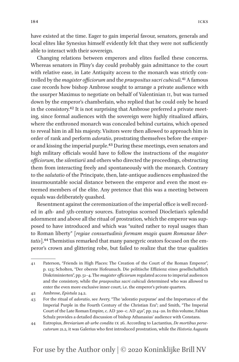have existed at the time. Eager to gain imperial favour, senators, generals and local elites like Synesius himself evidently felt that they were not sufficiently able to interact with their sovereign.

Changing relations between emperors and elites fuelled these concerns. Whereas senators in Pliny's day could probably gain admittance to the court with relative ease, in Late Antiquity access to the monarch was strictly controlled by the *magister officiorum* and the *praepositus sacri cubiculi*.41 A famous case records how bishop Ambrose sought to arrange a private audience with the usurper Maximus to negotiate on behalf of Valentinian II, but was turned down by the emperor's chamberlain, who replied that he could only be heard in the consistory.42 It is not surprising that Ambrose preferred a private meeting, since formal audiences with the sovereign were highly ritualized affairs, where the enthroned monarch was concealed behind curtains, which opened to reveal him in all his majesty. Visitors were then allowed to approach him in order of rank and perform *adoratio*, prostrating themselves before the emperor and kissing the imperial purple.<sup>43</sup> During these meetings, even senators and high military officials would have to follow the instructions of the *magister officiorum*, the *silentiarii* and others who directed the proceedings, obstructing them from interacting freely and spontaneously with the monarch. Contrary to the *salutatio* of the Principate, then, late-antique audiences emphasized the insurmountable social distance between the emperor and even the most esteemed members of the elite. Any pretence that this was a meeting between equals was deliberately quashed.

Resentment against the ceremonization of the imperial office is well recorded in 4th- and 5th-century sources. Eutropius scorned Diocletian's splendid adornment and above all the ritual of prostration, which the emperor was supposed to have introduced and which was "suited rather to royal usages than to Roman liberty" [*regiae consuetudinis formam magis quam Romanae libertatis*].44 Themistius remarked that many panegyric orators focused on the emperor's crown and glittering robe, but failed to realize that the true qualities

<sup>41</sup> Paterson, "Friends in High Places: The Creation of the Court of the Roman Emperor", p. 123; Scholten, "Der oberste Hofeunuch. Die politische Effizienz eines gesellschaftlich Diskriminierten", pp. 51–4. The *magister officiorum* regulated access to imperial audiences and the consistory, while the *praepositus sacri cubiculi* determined who was allowed to enter the even more exclusive inner court, i.e. the emperor's private quarters.

<sup>42</sup> Ambrose, *Epistula* 24.2.

<sup>43</sup> For the ritual of *adoratio*, see Avery, "The 'adoratio purpurae' and the Importance of the Imperial Purple in the Fourth Century of the Christian Era"; and Smith, "The Imperial Court of the Late Roman Empire, c. AD 300–c. AD 450", pp. 214–20. In this volume, Fabian Schulz provides a detailed discussion of bishop Athanasius' audience with Constans.

<sup>44</sup> Eutropius, *Breviarium ab urbe condita* IX 26. According to Lactantius, *De mortibus persecutorum* 21.2, it was Galerius who first introduced prostration, while the *Historia Augusta*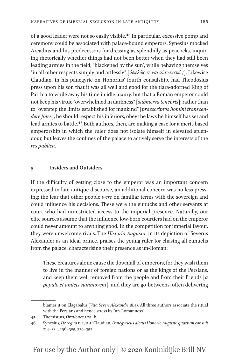of a good leader were not so easily visible.45 In particular, excessive pomp and ceremony could be associated with palace-bound emperors. Synesius mocked Arcadius and his predecessors for dressing as splendidly as peacocks, inquiring rhetorically whether things had not been better when they had still been leading armies in the field, "blackened by the sun", while behaving themselves "in all other respects simply and artlessly" [*ἀφελῶς τε καὶ αὐτοσκευῶς*]. Likewise Claudian, in his panegyric on Honorius' fourth consulship, had Theodosius press upon his son that it was all well and good for the tiara-adorned King of Parthia to while away his time in idle luxury, but that a Roman emperor could not keep his virtue "overwhelmed in darkness" [*submersa tenebris*]: rather than to "overstep the limits established for mankind" [*praescriptos homini transcendere fines*], he should respect his inferiors, obey the laws he himself has set and lead armies to battle.<sup>46</sup> Both authors, then, are making a case for a merit-based emperorship in which the ruler does not isolate himself in elevated splendour, but leaves the confines of the palace to actively serve the interests of the *res publica*.

### **5 Insiders and Outsiders**

If the difficulty of getting close to the emperor was an important concern expressed in late-antique discourse, an additional concern was no less pressing: the fear that other people *were* on familiar terms with the sovereign and could influence his decisions. These were the eunuchs and other servants at court who had unrestricted access to the imperial presence. Naturally, our elite sources assume that the influence low-born courtiers had on the emperor could never amount to anything good. In the competition for imperial favour, they were unwelcome rivals. The *Historia Augusta*, in its depiction of Severus Alexander as an ideal prince, praises the young ruler for chasing all eunuchs from the palace, characterising their presence as un-Roman:

These creatures alone cause the downfall of emperors, for they wish them to live in the manner of foreign nations or as the kings of the Persians, and keep them well removed from the people and from their friends [*a populo et amicis summovent*], and they are go-betweens, often delivering

blames it on Elagabalus (*Vita Severi Alexandri* 18.3). All three authors associate the ritual with the Persians and hence stress its "un-Romanness".

<sup>45</sup> Themistius, *Orationes* 1.2a–b.

<sup>46</sup> Synesius, *De regno* 11.2, 11.5; Claudian, *Panegyricus dictus Honorio Augusto quartum consuli* 214–224, 296–305, 320–352.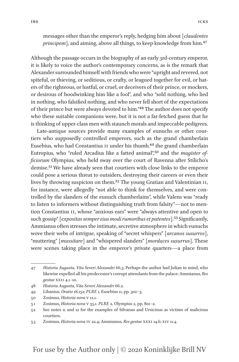messages other than the emperor's reply, hedging him about [*claudentes principem*], and aiming, above all things, to keep knowledge from him.<sup>47</sup>

Although the passage occurs in the biography of an early 3rd-century emperor, it is likely to voice the author's contemporary concerns, as is the remark that Alexander surrounded himself with friends who were "upright and revered, not spiteful, or thieving, or seditious, or crafty, or leagued together for evil, or haters of the righteous, or lustful, or cruel, or deceivers of their prince, or mockers, or desirous of hoodwinking him like a fool", and who "sold nothing, who lied in nothing, who falsified nothing, and who never fell short of the expectations of their prince but were always devoted to him."48 The author does not specify who these suitable companions were, but it is not a far-fetched guess that he is thinking of upper-class men with staunch morals and impeccable pedigrees.

Late-antique sources provide many examples of eunuchs or other courtiers who supposedly controlled emperors, such as the grand chamberlain Eusebius, who had Constantius II under his thumb,<sup>49</sup> the grand chamberlain Eutropius, who "ruled Arcadius like a fatted animal",50 and the *magister officiorum* Olympius, who held sway over the court of Ravenna after Stilicho's demise.51 We have already seen that courtiers with close links to the emperor could pose a serious threat to outsiders, destroying their careers or even their lives by throwing suspicion on them.52 The young Gratian and Valentinian II, for instance, were allegedly "not able to think for themselves, and were controlled by the slanders of the eunuch chamberlains", while Valens was "ready to listen to informers without distinguishing truth from falsity"—not to mention Constantius II, whose "anxious ears" were "always attentive and open to such gossip" [*expositas semper eius modi rumoribus et patentes*].53 Significantly, Ammianus often stresses the intimate, secretive atmosphere in which eunuchs wove their webs of intrigue, speaking of "secret whispers" [*arcanos susurros*], "muttering" [*mussitare*] and "whispered slanders" [*mordaces susurrus*]. These were scenes taking place in the emperor's private quarters—a place from

<sup>47</sup> *Historia Augusta*, *Vita Severi Alexandri* 66.3. Perhaps the author had Julian in mind, who likewise expelled all his predecessor's corrupt attendants from the palace: Ammianus, *Res gestae* XXII 4.1–10.

<sup>48</sup> *Historia Augusta*, *Vita Severi Alexandri* 66.2.

<sup>49</sup> Libanius, *Oratio* 18.152; *PLRE* 1, Eusebius 11, pp. 302–3.

<sup>50</sup> Zosimus, *Historia nova* V 12.1.

<sup>51</sup> Zosimus, *Historia nova* V 35.1. *PLRE* 2, Olympius 2, pp. 801–2.

<sup>52</sup> See notes 11 and 12 for the examples of Silvanus and Ursicinus as victims of malicious courtiers.

<sup>53</sup> Zosimus, *Historia nova* IV 22.4; Ammianus, *Res gestae* XXXI 14.6; XIV 11.4.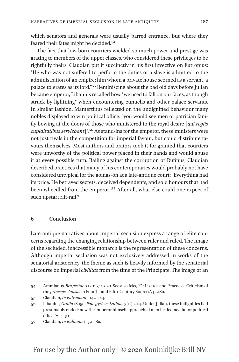which senators and generals were usually barred entrance, but where they feared their fates might be decided.54

The fact that low-born courtiers wielded so much power and prestige was grating to members of the upper classes, who considered these privileges to be rightfully theirs. Claudian put it succinctly in his first invective on Eutropius: "He who was not suffered to perform the duties of a slave is admitted to the administration of an empire; him whom a private house scorned as a servant, a palace tolerates as its lord."55 Reminiscing about the bad old days before Julian became emperor, Libanius recalled how "we used to fall on our faces, as though struck by lightning" when encountering eunuchs and other palace servants. In similar fashion, Mamertinus reflected on the undignified behaviour many nobles displayed to win political office: "you would see men of patrician family bowing at the doors of those who ministered to the royal desire [*qui regiis cupiditatibus serviebant*]".56 As stand-ins for the emperor, these ministers were not just rivals in the competition for imperial favour, but could distribute favours themselves. Most authors and orators took it for granted that courtiers were unworthy of the political power placed in their hands and would abuse it at every possible turn. Railing against the corruption of Rufinus, Claudian described practices that many of his contemporaries would probably not have considered untypical for the goings-on at a late-antique court: "Everything had its price. He betrayed secrets, deceived dependents, and sold honours that had been wheedled from the emperor."57 After all, what else could one expect of such upstart riff-raff?

#### **6 Conclusion**

Late-antique narratives about imperial seclusion express a range of elite concerns regarding the changing relationship between ruler and ruled. The image of the secluded, inaccessible monarch is the representation of these concerns. Although imperial seclusion was not exclusively addressed in works of the senatorial aristocracy, the theme as such is heavily informed by the senatorial discourse on imperial *civilitas* from the time of the Principate. The image of an

<sup>54</sup> Ammianus, *Res gestae* XIV 11.3; XX 2.1. See also Icks, "Of Lizards and Peacocks: Criticism of the *princeps clausus* in Fourth- and Fifth-Century Sources", p. 480.

<sup>55</sup> Claudian, *In Eutropium* I 142–144.

<sup>56</sup> Libanius, *Oratio* 18.150; *Panegyricus Latinus* 3(11).20.4. Under Julian, these indignities had presumably ended: now the emperor himself approached men he deemed fit for political office (21.4–5).

<sup>57</sup> Claudian, *In Rufinum* I 179–180.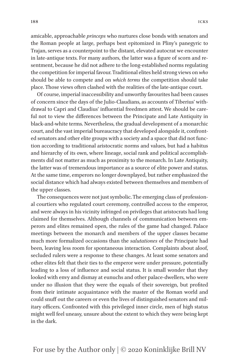amicable, approachable *princeps* who nurtures close bonds with senators and the Roman people at large, perhaps best epitomized in Pliny's panegyric to Trajan, serves as a counterpoint to the distant, elevated autocrat we encounter in late-antique texts. For many authors, the latter was a figure of scorn and resentment, because he did not adhere to the long-established norms regulating the competition for imperial favour. Traditional elites held strong views on *who* should be able to compete and on *which terms* the competition should take place. Those views often clashed with the realities of the late-antique court.

Of course, imperial inaccessibility and unworthy favourites had been causes of concern since the days of the Julio-Claudians, as accounts of Tiberius' withdrawal to Capri and Claudius' influential freedmen attest. We should be careful not to view the differences between the Principate and Late Antiquity in black-and-white terms. Nevertheless, the gradual development of a monarchic court, and the vast imperial bureaucracy that developed alongside it, confronted senators and other elite groups with a society and a space that did not function according to traditional aristocratic norms and values, but had a habitus and hierarchy of its own, where lineage, social rank and political accomplishments did not matter as much as proximity to the monarch. In Late Antiquity, the latter was of tremendous importance as a source of elite power and status. At the same time, emperors no longer downplayed, but rather emphasized the social distance which had always existed between themselves and members of the upper classes.

The consequences were not just symbolic. The emerging class of professional courtiers who regulated court ceremony, controlled access to the emperor, and were always in his vicinity infringed on privileges that aristocrats had long claimed for themselves. Although channels of communication between emperors and elites remained open, the rules of the game had changed. Palace meetings between the monarch and members of the upper classes became much more formalized occasions than the *salutationes* of the Principate had been, leaving less room for spontaneous interaction. Complaints about aloof, secluded rulers were a response to these changes. At least some senators and other elites felt that their ties to the emperor were under pressure, potentially leading to a loss of influence and social status. It is small wonder that they looked with envy and dismay at eunuchs and other palace-dwellers, who were under no illusion that they were the equals of their sovereign, but profited from their intimate acquaintance with the master of the Roman world and could snuff out the careers or even the lives of distinguished senators and military officers. Confronted with this privileged inner circle, men of high status might well feel uneasy, unsure about the extent to which they were being kept in the dark.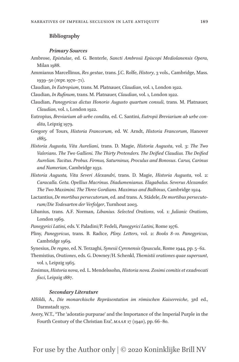#### **Bibliography**

#### *Primary Sources*

- Ambrose, *Epistulae*, ed. G. Benterle, *Sancti Ambrosii Episcopi Mediolanensis Opera*, Milan 1988.
- Ammianus Marcellinus, *Res gestae*, trans. J.C. Rolfe, *History*, 3 vols., Cambridge, Mass. 1939–50 (repr. 1970–71).
- Claudian, *In Eutropium*, trans. M. Platnauer, *Claudian*, vol. 1, London 1922.
- Claudian, *In Rufinum*, trans. M. Platnauer, *Claudian*, vol. 1, London 1922.
- Claudian, *Panegyricus dictus Honorio Augusto quartum consuli*, trans. M. Platnauer, *Claudian*, vol. 1, London 1922.
- Eutropius, *Breviarium ab urbe condita*, ed. C. Santini, *Eutropii Breviarium ab urbe condita*, Leipzig 1979.
- Gregory of Tours, *Historia Francorum*, ed. W. Arndt, *Historia Francorum*, Hanover 1885.
- *Historia Augusta, Vita Aureliani*, trans. D. Magie, *Historia Augusta*, vol. 3: *The Two Valerians*. *The Two Gallieni. The Thirty Pretenders. The Deified Claudius. The Deified Aurelian. Tacitus. Probus. Firmus, Saturninus, Proculus and Bonosus*. *Carus, Carinus and Numerian*, Cambridge 1932.
- *Historia Augusta, Vita Severi Alexandri*, trans. D. Magie, *Historia Augusta*, vol. 2: *Caracalla. Geta. Opellius Macrinus. Diadumenianus. Elagabalus. Severus Alexander. The Two Maximini. The Three Gordians. Maximus and Balbinus*, Cambridge 1924.
- Lactantius, *De mortibus persecutorum*, ed. and trans. A. Städele, *De mortibus persecutorum/Die Todesarten der Verfolger*, Turnhout 2003.
- Libanius, trans. A.F. Norman, *Libanius. Selected Orations*, vol. 1: *Julianic Orations*, London 1969.
- *Panegyrici Latini*, eds. V. Paladini/P. Fedeli, *Panegyrici Latini*, Rome 1976.
- Pliny, *Panegyricus*, trans. B. Radice, *Pliny. Letters*, vol. 2: *Books 8–10. Panegyricus*, Cambridge 1969.
- Synesius, *De regno*, ed. N. Terzaghi, *Synesii Cyrenensis Opuscula*, Rome 1944, pp. 5–62.
- Themistius, *Orationes*, eds. G. Downey/H. Schenkl, *Themistii orationes quae supersunt*, vol. 1, Leipzig 1965.
- Zosimus, *Historia nova*, ed. L. Mendelssohn, *Historia nova. Zosimi comitis et exadvocati fisci*, Leipzig 1887.

#### *Secondary Literature*

- Alföldi, A., *Die monarchische Repräsentation im römischen Kaiserreiche*, 3rd ed., Darmstadt 1970.
- Avery, W.T., "The 'adoratio purpurae' and the Importance of the Imperial Purple in the Fourth Century of the Christian Era", *MAAR* 17 (1940), pp. 66–80.

# For use by the Author only | © 2020 Koninklijke Brill NV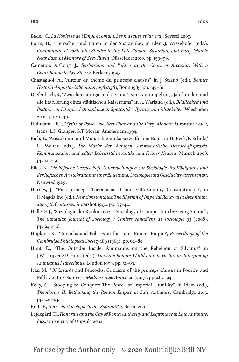Badel, C., *La Noblesse de l'Empire romain. Les masques et la vertu*, Seyssel 2005.

- Börm, H., "Herrscher und Eliten in der Spätantike", in Idem/J. Wiesehöfer (eds.), *Commutatio et contentio: Studies in the Late Roman, Sasanian, and Early Islamic Near East. In Memory of Zeev Rubin*, Düsseldorf 2010, pp. 159–98.
- Cameron, A./Long, J., *Barbarians and Politics at the Court of Arcadius. With a Contribution by Lee Sherry*, Berkeley 1993.
- Chastagnol, A., "Autour du thème du princeps clausus", in J. Straub (ed.), *Bonner Historia-Augusta-Colloquium, 1982/1983*, Bonn 1985, pp. 149–61.
- Diefenbach, S., "Zwischen Liturgie und 'civilitas': Konstantinopel im 5. Jahrhundert und die Etablierung eines städtischen Kaisertums", in R. Warland (ed.), *Bildlichkeit und Bildort von Liturgie. Schauplätze in Spätantike, Byzanz und Mittelalter*, Wiesbaden 2002, pp. 21–49.
- Duindam, J.F.J., *Myths of Power: Norbert Elias and the Early Modern European Court*, trans. L.S. Granger/G.T. Moran, Amsterdam 1994.
- Eich, P., "Aristokratie und Monarchie im kaiserzeitlichen Rom", in H. Beck/P. Scholz/ U. Walter (eds.), *Die Macht der Wenigen. Aristokratische Herrschaftspraxis, Kommunikation und 'edler' Lebensstil in Antike und Früher Neuzeit*, Munich 2008, pp. 125–51.
- Elias, N., *Die höfische Gesellschaft. Untersuchungen zur Soziologie des Königtums und der höfischen Aristokratie mit einer Einleitung: Soziologie und Geschichtswissenschaft*, Neuwied 1969.
- Harries, J., "Pius princeps: Theodosius II and Fifth-Century Constantinople", in P. Magdalino (ed.), *New Constantines: The Rhythm of Imperial Renewal in Byzantium, 4th–13th Centuries*, Aldershot 1994, pp. 35–44.
- Helle, H.J., "Soziologie der Konkurrenz—Sociology of Competition by Georg Simmel", *The Canadian Journal of Sociology / Cahiers canadiens de sociologie* 33 (2008), pp. 945–56.
- Hopkins, K., "Eunuchs and Politics in the Later Roman Empire", *Proceedings of the Cambridge Philological Society* 189 (1963), pp. 62–80.
- Hunt, D., "The Outsider Inside: Ammianus on the Rebellion of Silvanus", in J.W. Drijvers/D. Hunt (eds.), *The Late Roman World and its Historian: Interpreting Ammianus Marcellinus*, London 1999, pp. 51–63.
- Icks, M., "Of Lizards and Peacocks: Criticism of the *princeps clausus* in Fourth- and Fifth-Century Sources", *Mediterraneo Antico* 20 (2017), pp. 467–94.
- Kelly, C., "Stooping to Conquer: The Power of Imperial Humility", in Idem (ed.), *Theodosius II: Rethinking the Roman Empire in Late Antiquity*, Cambridge 2013, pp. 221–43.

Kolb, F., *Herrscherideologie in der Spätantike*, Berlin 2001.

Lejdegård, H., *Honorius and the City of Rome: Authority and Legitimacy in Late Antiquity*, diss. University of Uppsala 2002.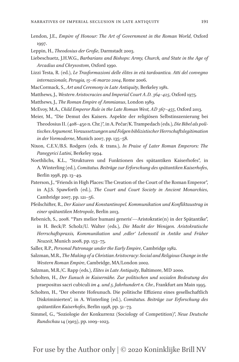- Lendon, J.E., *Empire of Honour: The Art of Government in the Roman World*, Oxford 1997.
- Leppin, H., *Theodosius der Große*, Darmstadt 2003.
- Liebeschuetz, J.H.W.G., *Barbarians and Bishops: Army, Church, and State in the Age of Arcadius and Chrysostom*, Oxford 1990.
- Lizzi Testa, R. (ed.), *Le Trasformazioni delle élites in età tardoantica. Atti del convegno internazionale, Perugia, 15–16 marzo 2004*, Rome 2006.
- MacCormack, S., *Art and Ceremony in Late Antiquity*, Berkeley 1981.
- Matthews, J., *Western Aristocracies and Imperial Court A.D. 364–425*, Oxford 1975.
- Matthews, J., *The Roman Empire of Ammianus*, London 1989.
- McEvoy, M.A., *Child Emperor Rule in the Late Roman West, AD 367–455*, Oxford 2013.
- Meier, M., "Die Demut des Kaisers. Aspekte der religiösen Selbstinszenierung bei Theodosius II. (408–450 n. Chr.)", in A. Pečar/K.Trampedach (eds.), *Die Bibel als politisches Argument. Voraussetzungen und Folgen biblizistischer Herrschaftslegitimation in der Vormoderne*, Munich 2007, pp. 135–58.
- Nixon, C.E.V./B.S. Rodgers (eds. & trans.), *In Praise of Later Roman Emperors: The Panegyrici Latini*, Berkeley 1994.
- Noethlichs, K.L., "Strukturen und Funktionen des spätantiken Kaiserhofes", in A. Winterling (ed.), *Comitatus. Beiträge zur Erforschung des spätantiken Kaiserhofes*, Berlin 1998, pp. 13–49.
- Paterson, J., "Friends in High Places: The Creation of the Court of the Roman Emperor", in A.J.S. Spawforth (ed.), *The Court and Court Society in Ancient Monarchies*, Cambridge 2007, pp. 121–56.
- Pfeilschifter, R., *Der Kaiser und Konstantinopel. Kommunikation und Konfliktaustrag in einer spätantiken Metropole*, Berlin 2013.
- Rebenich, S., 2008. "'Pars melior humani generis'—Aristokratie(n) in der Spätantike", in H. Beck/P. Scholz/U. Walter (eds.), *Die Macht der Wenigen. Aristokratische Herrschaftspraxis, Kommunikation und 'edler' Lebensstil in Antike und Früher Neuzeit*, Munich 2008, pp. 153–75.
- Saller, R.P., *Personal Patronage under the Early Empire*, Cambridge 1982.
- Salzman, M.R., *The Making of a Christian Aristocracy: Social and Religious Change in the Western Roman Empire*, Cambridge, MA/London 2002.
- Salzman, M.R./C. Rapp (eds.), *Elites in Late Antiquity*, Baltimore, MD 2000.
- Scholten, H., *Der Eunuch in Kaisernähe. Zur politischen und sozialen Bedeutung des*  praepositus sacri cubiculi *im 4. und 5. Jahrhundert n. Chr.*, Frankfurt am Main 1995.
- Scholten, H., "Der oberste Hofeunuch. Die politische Effizienz eines gesellschaftlich Diskriminierten", in A. Winterling (ed.), *Comitatus. Beiträge zur Erforschung des spätantiken Kaiserhofes*, Berlin 1998, pp. 51–73.
- Simmel, G., "Soziologie der Konkurrenz (Sociology of Competition)", *Neue Deutsche Rundschau* 14 (1903), pp. 1009–1023.